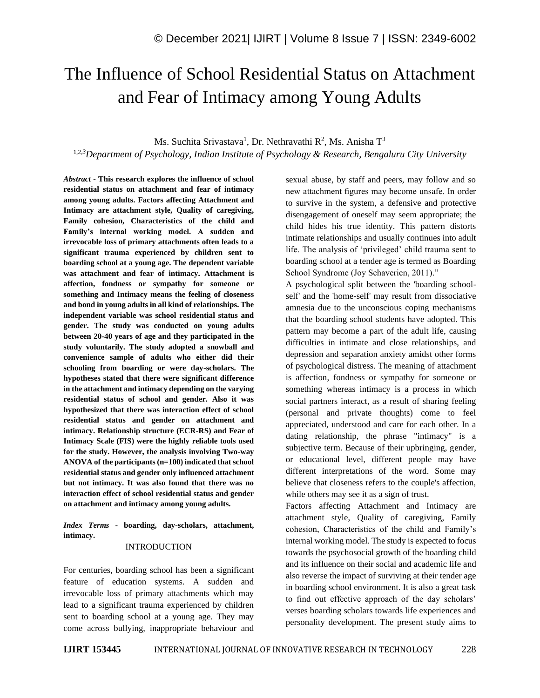# The Influence of School Residential Status on Attachment and Fear of Intimacy among Young Adults

Ms. Suchita Srivastava<sup>1</sup>, Dr. Nethravathi R<sup>2</sup>, Ms. Anisha T<sup>3</sup>

1,2,*<sup>3</sup>Department of Psychology, Indian Institute of Psychology & Research, Bengaluru City University*

*Abstract -* **This research explores the influence of school residential status on attachment and fear of intimacy among young adults. Factors affecting Attachment and Intimacy are attachment style, Quality of caregiving, Family cohesion, Characteristics of the child and Family's internal working model. A sudden and irrevocable loss of primary attachments often leads to a significant trauma experienced by children sent to boarding school at a young age. The dependent variable was attachment and fear of intimacy. Attachment is affection, fondness or sympathy for someone or something and Intimacy means the feeling of closeness and bond in young adults in all kind of relationships. The independent variable was school residential status and gender. The study was conducted on young adults between 20-40 years of age and they participated in the study voluntarily. The study adopted a snowball and convenience sample of adults who either did their schooling from boarding or were day-scholars. The hypotheses stated that there were significant difference in the attachment and intimacy depending on the varying residential status of school and gender. Also it was hypothesized that there was interaction effect of school residential status and gender on attachment and intimacy. Relationship structure (ECR-RS) and Fear of Intimacy Scale (FIS) were the highly reliable tools used for the study. However, the analysis involving Two-way ANOVA of the participants (n=100) indicated that school residential status and gender only influenced attachment but not intimacy. It was also found that there was no interaction effect of school residential status and gender on attachment and intimacy among young adults.**

*Index Terms -* **boarding, day-scholars, attachment, intimacy.**

### INTRODUCTION

For centuries, boarding school has been a significant feature of education systems. A sudden and irrevocable loss of primary attachments which may lead to a significant trauma experienced by children sent to boarding school at a young age. They may come across bullying, inappropriate behaviour and sexual abuse, by staff and peers, may follow and so new attachment figures may become unsafe. In order to survive in the system, a defensive and protective disengagement of oneself may seem appropriate; the child hides his true identity. This pattern distorts intimate relationships and usually continues into adult life. The analysis of 'privileged' child trauma sent to boarding school at a tender age is termed as Boarding School Syndrome (Joy Schaverien, 2011)."

A psychological split between the 'boarding schoolself' and the 'home-self' may result from dissociative amnesia due to the unconscious coping mechanisms that the boarding school students have adopted. This pattern may become a part of the adult life, causing difficulties in intimate and close relationships, and depression and separation anxiety amidst other forms of psychological distress. The meaning of attachment is affection, fondness or sympathy for someone or something whereas intimacy is a process in which social partners interact, as a result of sharing feeling (personal and private thoughts) come to feel appreciated, understood and care for each other. In a dating relationship, the phrase "intimacy" is a subjective term. Because of their upbringing, gender, or educational level, different people may have different interpretations of the word. Some may believe that closeness refers to the couple's affection, while others may see it as a sign of trust.

Factors affecting Attachment and Intimacy are attachment style, Quality of caregiving, Family cohesion, Characteristics of the child and Family's internal working model. The study is expected to focus towards the psychosocial growth of the boarding child and its influence on their social and academic life and also reverse the impact of surviving at their tender age in boarding school environment. It is also a great task to find out effective approach of the day scholars' verses boarding scholars towards life experiences and personality development. The present study aims to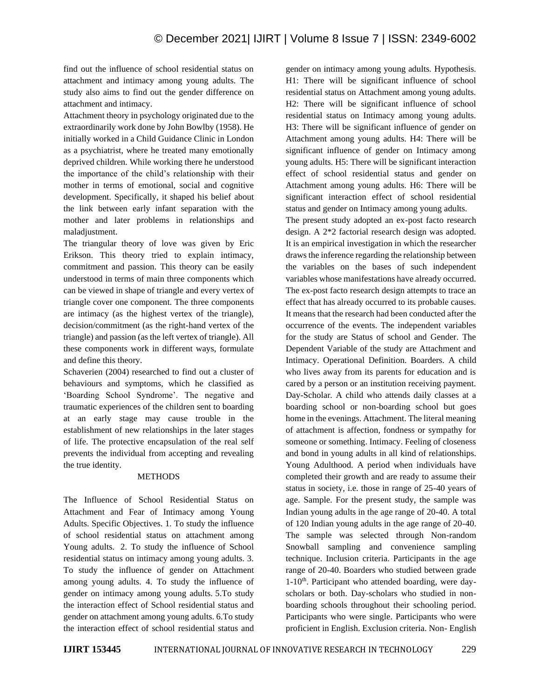find out the influence of school residential status on attachment and intimacy among young adults. The study also aims to find out the gender difference on attachment and intimacy.

Attachment theory in psychology originated due to the extraordinarily work done by John Bowlby (1958). He initially worked in a Child Guidance Clinic in London as a psychiatrist, where he treated many emotionally deprived children. While working there he understood the importance of the child's relationship with their mother in terms of emotional, social and cognitive development. Specifically, it shaped his belief about the link between early infant separation with the mother and later problems in relationships and maladjustment.

The triangular theory of love was given by Eric Erikson. This theory tried to explain intimacy, commitment and passion. This theory can be easily understood in terms of main three components which can be viewed in shape of triangle and every vertex of triangle cover one component. The three components are intimacy (as the highest vertex of the triangle), decision/commitment (as the right-hand vertex of the triangle) and passion (as the left vertex of triangle). All these components work in different ways, formulate and define this theory.

Schaverien (2004) researched to find out a cluster of behaviours and symptoms, which he classified as 'Boarding School Syndrome'. The negative and traumatic experiences of the children sent to boarding at an early stage may cause trouble in the establishment of new relationships in the later stages of life. The protective encapsulation of the real self prevents the individual from accepting and revealing the true identity.

### METHODS

The Influence of School Residential Status on Attachment and Fear of Intimacy among Young Adults. Specific Objectives. 1. To study the influence of school residential status on attachment among Young adults. 2. To study the influence of School residential status on intimacy among young adults. 3. To study the influence of gender on Attachment among young adults. 4. To study the influence of gender on intimacy among young adults. 5.To study the interaction effect of School residential status and gender on attachment among young adults. 6.To study the interaction effect of school residential status and gender on intimacy among young adults. Hypothesis. H1: There will be significant influence of school residential status on Attachment among young adults. H2: There will be significant influence of school residential status on Intimacy among young adults. H3: There will be significant influence of gender on Attachment among young adults. H4: There will be significant influence of gender on Intimacy among young adults. H5: There will be significant interaction effect of school residential status and gender on Attachment among young adults. H6: There will be significant interaction effect of school residential status and gender on Intimacy among young adults.

The present study adopted an ex-post facto research design. A 2\*2 factorial research design was adopted. It is an empirical investigation in which the researcher draws the inference regarding the relationship between the variables on the bases of such independent variables whose manifestations have already occurred. The ex-post facto research design attempts to trace an effect that has already occurred to its probable causes. It means that the research had been conducted after the occurrence of the events. The independent variables for the study are Status of school and Gender. The Dependent Variable of the study are Attachment and Intimacy. Operational Definition. Boarders. A child who lives away from its parents for education and is cared by a person or an institution receiving payment. Day-Scholar*.* A child who attends daily classes at a boarding school or non-boarding school but goes home in the evenings. Attachment. The literal meaning of attachment is affection, fondness or sympathy for someone or something. Intimacy. Feeling of closeness and bond in young adults in all kind of relationships. Young Adulthood*.* A period when individuals have completed their growth and are ready to assume their status in society, i.e. those in range of 25-40 years of age. Sample. For the present study, the sample was Indian young adults in the age range of 20-40. A total of 120 Indian young adults in the age range of 20-40. The sample was selected through Non-random Snowball sampling and convenience sampling technique. Inclusion criteria. Participants in the age range of 20-40. Boarders who studied between grade 1-10th. Participant who attended boarding, were dayscholars or both. Day-scholars who studied in nonboarding schools throughout their schooling period. Participants who were single. Participants who were proficient in English. Exclusion criteria. Non- English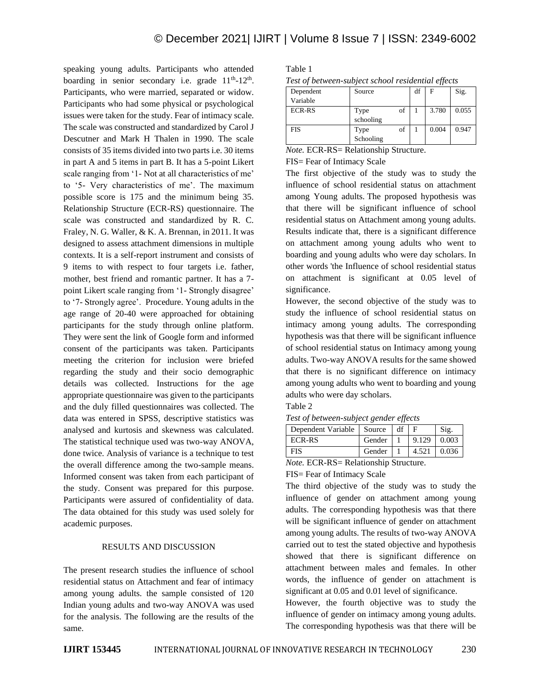speaking young adults. Participants who attended boarding in senior secondary i.e. grade  $11<sup>th</sup>$ - $12<sup>th</sup>$ . Participants, who were married, separated or widow. Participants who had some physical or psychological issues were taken for the study. Fear of intimacy scale*.*  The scale was constructed and standardized by Carol J Descutner and Mark H Thalen in 1990. The scale consists of 35 items divided into two parts i.e. 30 items in part A and 5 items in part B. It has a 5-point Likert scale ranging from '1- Not at all characteristics of me' to '5- Very characteristics of me'. The maximum possible score is 175 and the minimum being 35. Relationship Structure (ECR-RS) questionnaire. The scale was constructed and standardized by R. C. Fraley, N. G. Waller, & K. A. Brennan, in 2011. It was designed to assess attachment dimensions in multiple contexts. It is a self-report instrument and consists of 9 items to with respect to four targets i.e. father, mother, best friend and romantic partner. It has a 7 point Likert scale ranging from '1- Strongly disagree' to '7- Strongly agree'. Procedure. Young adults in the age range of 20-40 were approached for obtaining participants for the study through online platform. They were sent the link of Google form and informed consent of the participants was taken. Participants meeting the criterion for inclusion were briefed regarding the study and their socio demographic details was collected. Instructions for the age appropriate questionnaire was given to the participants and the duly filled questionnaires was collected. The data was entered in SPSS, descriptive statistics was analysed and kurtosis and skewness was calculated. The statistical technique used was two-way ANOVA, done twice. Analysis of variance is a technique to test the overall difference among the two-sample means. Informed consent was taken from each participant of the study. Consent was prepared for this purpose. Participants were assured of confidentiality of data. The data obtained for this study was used solely for academic purposes.

## RESULTS AND DISCUSSION

The present research studies the influence of school residential status on Attachment and fear of intimacy among young adults. the sample consisted of 120 Indian young adults and two-way ANOVA was used for the analysis. The following are the results of the same.

| ×<br>۰,<br>×<br>۹<br>I |  |
|------------------------|--|
|------------------------|--|

|  |  | Test of between-subject school residential effects |  |
|--|--|----------------------------------------------------|--|
|  |  |                                                    |  |

| Dependent     | Source    |    | df | F     | Sig.  |
|---------------|-----------|----|----|-------|-------|
| Variable      |           |    |    |       |       |
| <b>ECR-RS</b> | Type      | of |    | 3.780 | 0.055 |
|               | schooling |    |    |       |       |
| <b>FIS</b>    | Type      | of |    | 0.004 | 0.947 |
|               | Schooling |    |    |       |       |

*Note.* ECR-RS= Relationship Structure.

FIS= Fear of Intimacy Scale

The first objective of the study was to study the influence of school residential status on attachment among Young adults. The proposed hypothesis was that there will be significant influence of school residential status on Attachment among young adults. Results indicate that, there is a significant difference on attachment among young adults who went to boarding and young adults who were day scholars. In other words 'the Influence of school residential status on attachment is significant at 0.05 level of significance.

However, the second objective of the study was to study the influence of school residential status on intimacy among young adults. The corresponding hypothesis was that there will be significant influence of school residential status on Intimacy among young adults. Two-way ANOVA results for the same showed that there is no significant difference on intimacy among young adults who went to boarding and young adults who were day scholars.

Table 2

*Test of between-subject gender effects*

| Dependent Variable   Source |        | df |       | Sig.  |
|-----------------------------|--------|----|-------|-------|
| ECR-RS                      | Gender |    | 9.129 | 0.003 |
| FIS                         | Gender |    | 4.521 | 0.036 |

*Note.* ECR-RS= Relationship Structure.

FIS= Fear of Intimacy Scale

The third objective of the study was to study the influence of gender on attachment among young adults. The corresponding hypothesis was that there will be significant influence of gender on attachment among young adults. The results of two-way ANOVA carried out to test the stated objective and hypothesis showed that there is significant difference on attachment between males and females. In other words, the influence of gender on attachment is significant at 0.05 and 0.01 level of significance.

However, the fourth objective was to study the influence of gender on intimacy among young adults. The corresponding hypothesis was that there will be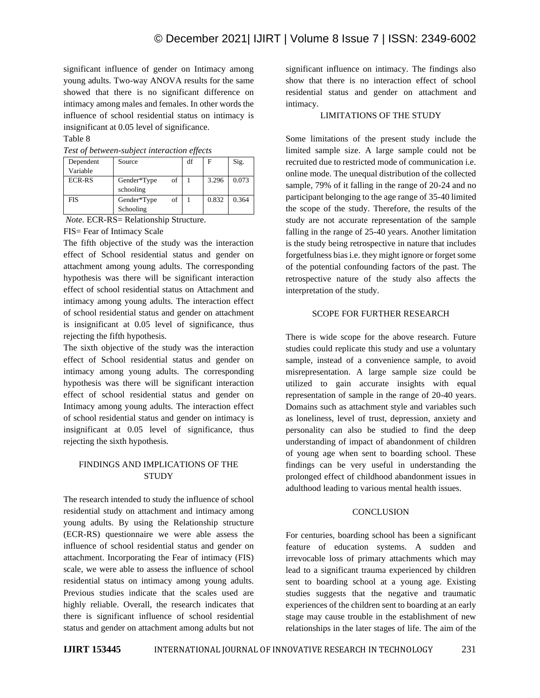significant influence of gender on Intimacy among young adults. Two-way ANOVA results for the same showed that there is no significant difference on intimacy among males and females. In other words the influence of school residential status on intimacy is insignificant at 0.05 level of significance.

# Table 8

| Test of between-subject interaction effects |  |  |
|---------------------------------------------|--|--|
|                                             |  |  |

| Dependent     | Source                         | df | Е     | Sig.  |
|---------------|--------------------------------|----|-------|-------|
| Variable      |                                |    |       |       |
| <b>ECR-RS</b> | of<br>Gender*Type<br>schooling |    | 3.296 | 0.073 |
| <b>FIS</b>    | of<br>Gender*Type<br>Schooling |    | 0.832 | 0.364 |

*Note.* ECR-RS= Relationship Structure.

FIS= Fear of Intimacy Scale

The fifth objective of the study was the interaction effect of School residential status and gender on attachment among young adults. The corresponding hypothesis was there will be significant interaction effect of school residential status on Attachment and intimacy among young adults. The interaction effect of school residential status and gender on attachment is insignificant at 0.05 level of significance, thus rejecting the fifth hypothesis.

The sixth objective of the study was the interaction effect of School residential status and gender on intimacy among young adults. The corresponding hypothesis was there will be significant interaction effect of school residential status and gender on Intimacy among young adults. The interaction effect of school residential status and gender on intimacy is insignificant at 0.05 level of significance, thus rejecting the sixth hypothesis.

# FINDINGS AND IMPLICATIONS OF THE **STUDY**

The research intended to study the influence of school residential study on attachment and intimacy among young adults. By using the Relationship structure (ECR-RS) questionnaire we were able assess the influence of school residential status and gender on attachment. Incorporating the Fear of intimacy (FIS) scale, we were able to assess the influence of school residential status on intimacy among young adults. Previous studies indicate that the scales used are highly reliable. Overall, the research indicates that there is significant influence of school residential status and gender on attachment among adults but not

significant influence on intimacy. The findings also show that there is no interaction effect of school residential status and gender on attachment and intimacy.

# LIMITATIONS OF THE STUDY

Some limitations of the present study include the limited sample size. A large sample could not be recruited due to restricted mode of communication i.e. online mode. The unequal distribution of the collected sample, 79% of it falling in the range of 20-24 and no participant belonging to the age range of 35-40 limited the scope of the study. Therefore, the results of the study are not accurate representation of the sample falling in the range of 25-40 years. Another limitation is the study being retrospective in nature that includes forgetfulness bias i.e. they might ignore or forget some of the potential confounding factors of the past. The retrospective nature of the study also affects the interpretation of the study.

#### SCOPE FOR FURTHER RESEARCH

There is wide scope for the above research. Future studies could replicate this study and use a voluntary sample, instead of a convenience sample, to avoid misrepresentation. A large sample size could be utilized to gain accurate insights with equal representation of sample in the range of 20-40 years. Domains such as attachment style and variables such as loneliness, level of trust, depression, anxiety and personality can also be studied to find the deep understanding of impact of abandonment of children of young age when sent to boarding school. These findings can be very useful in understanding the prolonged effect of childhood abandonment issues in adulthood leading to various mental health issues.

#### **CONCLUSION**

For centuries, boarding school has been a significant feature of education systems. A sudden and irrevocable loss of primary attachments which may lead to a significant trauma experienced by children sent to boarding school at a young age. Existing studies suggests that the negative and traumatic experiences of the children sent to boarding at an early stage may cause trouble in the establishment of new relationships in the later stages of life. The aim of the